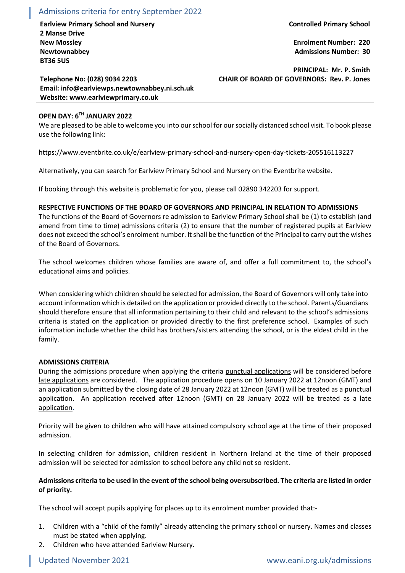## Admissions criteria for entry September 2022

**Earlview Primary School and Nursery Controlled Primary School 2 Manse Drive New Mossley Newtownabbey BT36 5US**

**Enrolment Number: 220 Admissions Number: 30**

**PRINCIPAL: Mr. P. Smith CHAIR OF BOARD OF GOVERNORS: Rev. P. Jones**

**Telephone No: (028) 9034 2203 Email: info@earlviewps.newtownabbey.ni.sch.uk Website: www.earlviewprimary.co.uk**

# **OPEN DAY: 6TH JANUARY 2022**

We are pleased to be able to welcome you into our school for our socially distanced school visit. To book please use the following link:

https://www.eventbrite.co.uk/e/earlview-primary-school-and-nursery-open-day-tickets-205516113227

Alternatively, you can search for Earlview Primary School and Nursery on the Eventbrite website.

If booking through this website is problematic for you, please call 02890 342203 for support.

## **RESPECTIVE FUNCTIONS OF THE BOARD OF GOVERNORS AND PRINCIPAL IN RELATION TO ADMISSIONS**

The functions of the Board of Governors re admission to Earlview Primary School shall be (1) to establish (and amend from time to time) admissions criteria (2) to ensure that the number of registered pupils at Earlview does not exceed the school's enrolment number. It shall be the function of the Principal to carry out the wishes of the Board of Governors.

The school welcomes children whose families are aware of, and offer a full commitment to, the school's educational aims and policies.

When considering which children should be selected for admission, the Board of Governors will only take into account information which is detailed on the application or provided directly to the school. Parents/Guardians should therefore ensure that all information pertaining to their child and relevant to the school's admissions criteria is stated on the application or provided directly to the first preference school. Examples of such information include whether the child has brothers/sisters attending the school, or is the eldest child in the family.

## **ADMISSIONS CRITERIA**

During the admissions procedure when applying the criteria punctual applications will be considered before late applications are considered. The application procedure opens on 10 January 2022 at 12noon (GMT) and an application submitted by the closing date of 28 January 2022 at 12noon (GMT) will be treated as a punctual application. An application received after 12noon (GMT) on 28 January 2022 will be treated as a late application.

Priority will be given to children who will have attained compulsory school age at the time of their proposed admission.

In selecting children for admission, children resident in Northern Ireland at the time of their proposed admission will be selected for admission to school before any child not so resident.

## **Admissions criteria to be used in the event of the school being oversubscribed. The criteria are listed in order of priority.**

The school will accept pupils applying for places up to its enrolment number provided that:-

- 1. Children with a "child of the family" already attending the primary school or nursery. Names and classes must be stated when applying.
- 2. Children who have attended Earlview Nursery.